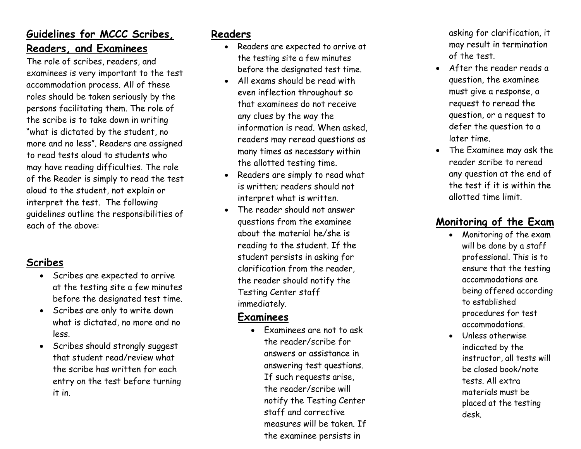# **Guidelines for MCCC Scribes, Readers, and Examinees**

The role of scribes, readers, and examinees is very important to the test accommodation process. All of these roles should be taken seriously by the persons facilitating them. The role of the scribe is to take down in writing "what is dictated by the student, no more and no less". Readers are assigned to read tests aloud to students who may have reading difficulties. The role of the Reader is simply to read the test aloud to the student, not explain or interpret the test. The following guidelines outline the responsibilities of each of the above:

## **Scribes**

- Scribes are expected to arrive at the testing site a few minutes before the designated test time.
- Scribes are only to write down what is dictated, no more and no less.
- Scribes should strongly suggest that student read/review what the scribe has written for each entry on the test before turning it in.

## **Readers**

- Readers are expected to arrive at the testing site a few minutes before the designated test time.
- All exams should be read with even inflection throughout so that examinees do not receive any clues by the way the information is read. When asked, readers may reread questions as many times as necessary within the allotted testing time.
- Readers are simply to read what is written; readers should not interpret what is written.
- The reader should not answer questions from the examinee about the material he/she is reading to the student. If the student persists in asking for clarification from the reader, the reader should notify the Testing Center staff immediately.

#### **Examinees**

• Examinees are not to ask the reader/scribe for answers or assistance in answering test questions. If such requests arise, the reader/scribe will notify the Testing Center staff and corrective measures will be taken. If the examinee persists in

asking for clarification, it may result in termination of the test.

- After the reader reads a question, the examinee must give a response, a request to reread the question, or a request to defer the question to a later time.
- The Examinee may ask the reader scribe to reread any question at the end of the test if it is within the allotted time limit.

# **Monitoring of the Exam**

- Monitoring of the exam will be done by a staff professional. This is to ensure that the testing accommodations are being offered according to established procedures for test accommodations.
- Unless otherwise indicated by the instructor, all tests will be closed book/note tests. All extra materials must be placed at the testing desk.